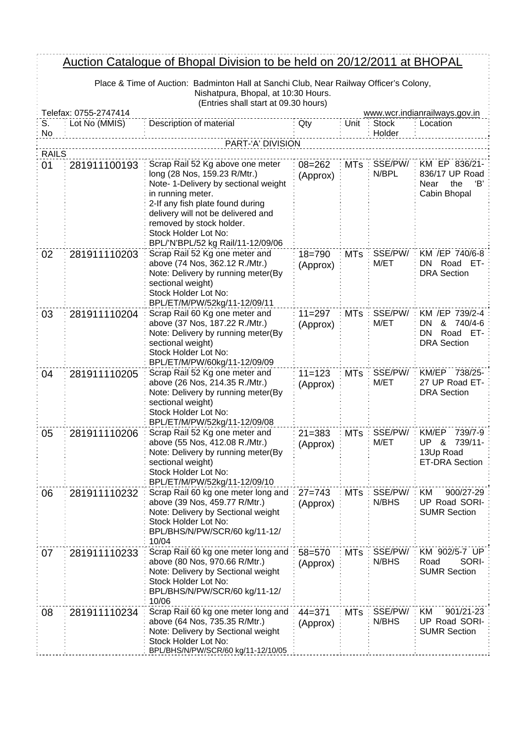## Auction Catalogue of Bhopal Division to be held on 20/12/2011 at BHOPAL

Place & Time of Auction: Badminton Hall at Sanchi Club, Near Railway Officer's Colony, Nishatpura, Bhopal, at 10:30 Hours. (Entries shall start at 09.30 hours)

|              | $\mu$ . The respectively contributed to the state $\mu$<br>Telefax: 0755-2747414<br>www.wcr.indianrailways.gov.in |                                                                                                                                                                                                                                                                                                  |                        |            |                        |                                                                                |  |  |
|--------------|-------------------------------------------------------------------------------------------------------------------|--------------------------------------------------------------------------------------------------------------------------------------------------------------------------------------------------------------------------------------------------------------------------------------------------|------------------------|------------|------------------------|--------------------------------------------------------------------------------|--|--|
| S.<br>No     | Lot No (MMIS)                                                                                                     | Description of material                                                                                                                                                                                                                                                                          | Qty                    |            | Unit : Stock<br>Holder | Location                                                                       |  |  |
|              |                                                                                                                   | PART-'A' DIVISION                                                                                                                                                                                                                                                                                |                        |            |                        |                                                                                |  |  |
| <b>RAILS</b> |                                                                                                                   |                                                                                                                                                                                                                                                                                                  |                        |            |                        |                                                                                |  |  |
| 01           | 281911100193                                                                                                      | Scrap Rail 52 Kg above one meter<br>long (28 Nos, 159.23 R/Mtr.)<br>Note- 1-Delivery by sectional weight<br>in running meter.<br>2-If any fish plate found during<br>delivery will not be delivered and<br>removed by stock holder.<br>Stock Holder Lot No:<br>BPL/'N'BPL/52 kg Rail/11-12/09/06 | $08 = 262$<br>(Approx) | <b>MTs</b> | SSE/PW/<br>N/BPL       | KM EP 836/21-<br>836/17 UP Road<br>Near<br>the<br>'B'<br>Cabin Bhopal          |  |  |
| 02           | 281911110203                                                                                                      | Scrap Rail 52 Kg one meter and<br>above (74 Nos, 362.12 R./Mtr.)<br>Note: Delivery by running meter(By<br>sectional weight)<br>Stock Holder Lot No:<br>BPL/ET/M/PW/52kg/11-12/09/11                                                                                                              | $18 = 790$<br>(Approx) | <b>MTs</b> | SSE/PW/<br>M/ET        | KM /EP 740/6-8<br>DN.<br>Road<br>ET-<br><b>DRA Section</b>                     |  |  |
| 03           | 281911110204                                                                                                      | Scrap Rail 60 Kg one meter and<br>above (37 Nos, 187.22 R./Mtr.)<br>Note: Delivery by running meter(By<br>sectional weight)<br>Stock Holder Lot No:<br>BPL/ET/M/PW/60kg/11-12/09/09                                                                                                              | $11 = 297$<br>(Approx) | <b>MTs</b> | SSE/PW/<br>M/ET        | KM /EP 739/2-4<br>&<br>740/4-6<br>DN<br>Road ET-<br>DN.<br><b>DRA Section</b>  |  |  |
| 04           | 281911110205                                                                                                      | Scrap Rail 52 Kg one meter and<br>above (26 Nos, 214.35 R./Mtr.)<br>Note: Delivery by running meter(By<br>sectional weight)<br>Stock Holder Lot No:<br>BPL/ET/M/PW/52kg/11-12/09/08                                                                                                              | $11 = 123$<br>(Approx) | <b>MTs</b> | SSE/PW/<br>M/ET        | KM/EP 738/25-<br>27 UP Road ET-<br><b>DRA Section</b>                          |  |  |
| 05           | 281911110206                                                                                                      | Scrap Rail 52 Kg one meter and<br>above (55 Nos, 412.08 R./Mtr.)<br>Note: Delivery by running meter(By<br>sectional weight)<br>Stock Holder Lot No:<br>BPL/ET/M/PW/52kg/11-12/09/10                                                                                                              | $21 = 383$<br>(Approx) | <b>MTs</b> | SSE/PW/<br>M/ET        | KM/EP<br>739/7-9<br>UP<br>- &<br>739/11-<br>13Up Road<br><b>ET-DRA Section</b> |  |  |
| 06           | 281911110232                                                                                                      | Scrap Rail 60 kg one meter long and<br>above (39 Nos, 459.77 R/Mtr.)<br>Note: Delivery by Sectional weight<br>Stock Holder Lot No:<br>BPL/BHS/N/PW/SCR/60 kg/11-12/<br>10/04                                                                                                                     | $27 = 743$<br>(Approx) | MTs.       | SSE/PW/<br>N/BHS       | <b>KM</b><br>900/27-29<br>UP Road SORI-<br><b>SUMR Section</b>                 |  |  |
| 07           | 281911110233                                                                                                      | Scrap Rail 60 kg one meter long and<br>above (80 Nos, 970.66 R/Mtr.)<br>Note: Delivery by Sectional weight<br>Stock Holder Lot No:<br>BPL/BHS/N/PW/SCR/60 kg/11-12/<br>10/06                                                                                                                     | 58=570<br>(Approx)     | <b>MTs</b> | SSE/PW/<br>N/BHS       | KM 902/5-7 UP<br>SORI-<br>Road<br><b>SUMR Section</b>                          |  |  |
| 08           | 281911110234                                                                                                      | Scrap Rail 60 kg one meter long and<br>above (64 Nos, 735.35 R/Mtr.)<br>Note: Delivery by Sectional weight<br>Stock Holder Lot No:<br>BPL/BHS/N/PW/SCR/60 kg/11-12/10/05                                                                                                                         | $44 = 371$<br>(Approx) | <b>MTs</b> | SSE/PW/<br>N/BHS       | 901/21-23<br>KM<br>UP Road SORI-<br><b>SUMR Section</b>                        |  |  |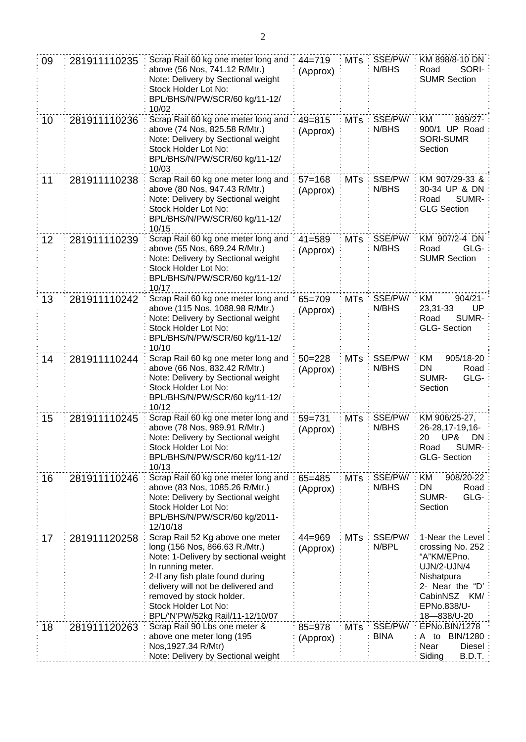| 09 | 281911110235 | Scrap Rail 60 kg one meter long and<br>above (56 Nos, 741.12 R/Mtr.)<br>Note: Delivery by Sectional weight<br>Stock Holder Lot No:<br>BPL/BHS/N/PW/SCR/60 kg/11-12/<br>10/02                                                                                                                     | $44 = 719$<br>(Approx) | <b>MTs</b> | SSE/PW/<br>N/BHS       | KM 898/8-10 DN<br>SORI-<br>Road<br><b>SUMR Section</b>                                                                                                   |
|----|--------------|--------------------------------------------------------------------------------------------------------------------------------------------------------------------------------------------------------------------------------------------------------------------------------------------------|------------------------|------------|------------------------|----------------------------------------------------------------------------------------------------------------------------------------------------------|
| 10 | 281911110236 | Scrap Rail 60 kg one meter long and<br>above (74 Nos, 825.58 R/Mtr.)<br>Note: Delivery by Sectional weight<br>Stock Holder Lot No:<br>BPL/BHS/N/PW/SCR/60 kg/11-12/<br>10/03                                                                                                                     | $49 = 815$<br>(Approx) | <b>MTs</b> | SSE/PW/<br>N/BHS       | KM<br>899/27-<br>900/1 UP Road<br><b>SORI-SUMR</b><br>Section                                                                                            |
| 11 | 281911110238 | Scrap Rail 60 kg one meter long and<br>above (80 Nos, 947.43 R/Mtr.)<br>Note: Delivery by Sectional weight<br>Stock Holder Lot No:<br>BPL/BHS/N/PW/SCR/60 kg/11-12/<br>10/15                                                                                                                     | $57 = 168$<br>(Approx) | <b>MTs</b> | SSE/PW/<br>N/BHS       | KM 907/29-33 &<br>30-34 UP & DN<br>SUMR-<br>Road<br><b>GLG Section</b>                                                                                   |
| 12 | 281911110239 | Scrap Rail 60 kg one meter long and<br>above (55 Nos, 689.24 R/Mtr.)<br>Note: Delivery by Sectional weight<br>Stock Holder Lot No:<br>BPL/BHS/N/PW/SCR/60 kg/11-12/<br>10/17                                                                                                                     | $41 = 589$<br>(Approx) | <b>MTs</b> | SSE/PW/<br>N/BHS       | KM 907/2-4 DN<br>Road<br>GLG-<br><b>SUMR Section</b>                                                                                                     |
| 13 | 281911110242 | Scrap Rail 60 kg one meter long and<br>above (115 Nos, 1088.98 R/Mtr.)<br>Note: Delivery by Sectional weight<br>Stock Holder Lot No:<br>BPL/BHS/N/PW/SCR/60 kg/11-12/<br>10/10                                                                                                                   | $65 = 709$<br>(Approx) | <b>MTs</b> | SSE/PW/<br>N/BHS       | KM<br>$904/21 -$<br>UP<br>23,31-33<br>SUMR-<br>Road<br><b>GLG-Section</b>                                                                                |
| 14 | 281911110244 | Scrap Rail 60 kg one meter long and<br>above (66 Nos, 832.42 R/Mtr.)<br>Note: Delivery by Sectional weight<br>Stock Holder Lot No:<br>BPL/BHS/N/PW/SCR/60 kg/11-12/<br>10/12                                                                                                                     | $50 = 228$<br>(Approx) | <b>MTs</b> | SSE/PW/<br>N/BHS       | 905/18-20<br>ΚM<br>DN<br>Road<br>SUMR-<br>GLG-<br>Section                                                                                                |
| 15 | 281911110245 | Scrap Rail 60 kg one meter long and<br>above (78 Nos, 989.91 R/Mtr.)<br>Note: Delivery by Sectional weight<br>Stock Holder Lot No:<br>BPL/BHS/N/PW/SCR/60 kg/11-12/<br>10/13                                                                                                                     | $59 = 731$<br>(Approx) | <b>MTs</b> | SSE/PW/<br>N/BHS       | KM 906/25-27,<br>26-28, 17-19, 16-<br>20 UP& DN<br>SUMR-<br>Road<br><b>GLG-Section</b>                                                                   |
| 16 | 281911110246 | Scrap Rail 60 kg one meter long and<br>above (83 Nos, 1085.26 R/Mtr.)<br>Note: Delivery by Sectional weight<br>Stock Holder Lot No:<br>BPL/BHS/N/PW/SCR/60 kg/2011-<br>12/10/18                                                                                                                  | $65 = 485$<br>(Approx) | <b>MTs</b> | SSE/PW/<br>N/BHS       | KM<br>908/20-22<br>DN<br>Road<br>GLG-<br>SUMR-<br>Section                                                                                                |
| 17 | 281911120258 | Scrap Rail 52 Kg above one meter<br>long (156 Nos, 866.63 R./Mtr.)<br>Note: 1-Delivery by sectional weight<br>In running meter.<br>2-If any fish plate found during<br>delivery will not be delivered and<br>removed by stock holder.<br>Stock Holder Lot No:<br>BPL/'N'PW/52kg Rail/11-12/10/07 | $44 = 969$<br>(Approx) | <b>MTs</b> | SSE/PW/<br>N/BPL       | 1-Near the Level<br>crossing No. 252<br>"A"KM/EPno.<br><b>UJN/2-UJN/4</b><br>Nishatpura<br>2- Near the "D'<br>CabinNSZ KM/<br>EPNo.838/U-<br>18-838/U-20 |
| 18 | 281911120263 | Scrap Rail 90 Lbs one meter &<br>above one meter long (195<br>Nos, 1927.34 R/Mtr)<br>Note: Delivery by Sectional weight                                                                                                                                                                          | 85=978<br>(Approx)     | <b>MTs</b> | SSE/PW/<br><b>BINA</b> | EPNo.BIN/1278<br>BIN/1280<br>A to<br>Near<br>Diesel<br>Siding<br>B.D.T.                                                                                  |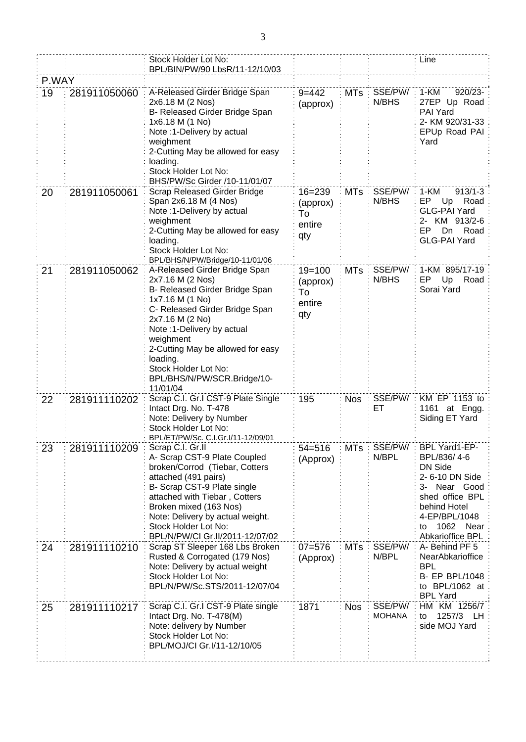|       |              | Stock Holder Lot No:<br>BPL/BIN/PW/90 LbsR/11-12/10/03                                                                                                                                                                                                                                                                     |                                               |            |                          | Line                                                                                                                                                                           |
|-------|--------------|----------------------------------------------------------------------------------------------------------------------------------------------------------------------------------------------------------------------------------------------------------------------------------------------------------------------------|-----------------------------------------------|------------|--------------------------|--------------------------------------------------------------------------------------------------------------------------------------------------------------------------------|
| P.WAY |              |                                                                                                                                                                                                                                                                                                                            |                                               |            |                          |                                                                                                                                                                                |
| 19    | 281911050060 | A-Released Girder Bridge Span<br>2x6.18 M (2 Nos)<br>B- Released Girder Bridge Span<br>1x6.18 M (1 No)<br>Note: 1-Delivery by actual<br>weighment<br>2-Cutting May be allowed for easy<br>loading.<br>Stock Holder Lot No:<br>BHS/PW/Sc Girder /10-11/01/07                                                                | $9 = 442$<br>(approx)                         | $MTs$ :    | SSE/PW/<br>N/BHS         | 1-KM<br>920/23-<br>27EP Up Road<br>PAI Yard<br>2- KM 920/31-33<br>EPUp Road PAI<br>Yard                                                                                        |
| 20    | 281911050061 | <b>Scrap Released Girder Bridge</b><br>Span 2x6.18 M (4 Nos)<br>Note :1-Delivery by actual<br>weighment<br>2-Cutting May be allowed for easy<br>loading.<br>Stock Holder Lot No:<br>BPL/BHS/N/PW/Bridge/10-11/01/06                                                                                                        | $16 = 239$<br>(approx)<br>To<br>entire<br>qty | <b>MTs</b> | SSE/PW/<br>N/BHS         | 1-KM<br>$913/1 - 3$<br>EP Up<br>Road<br><b>GLG-PAI Yard</b><br>2- KM 913/2-6<br>EP.<br>Road<br>Dn.<br><b>GLG-PAI Yard</b>                                                      |
| 21    | 281911050062 | A-Released Girder Bridge Span<br>2x7.16 M (2 Nos)<br>B- Released Girder Bridge Span<br>1x7.16 M (1 No)<br>C- Released Girder Bridge Span<br>2x7.16 M (2 No)<br>Note :1-Delivery by actual<br>weighment<br>2-Cutting May be allowed for easy<br>loading.<br>Stock Holder Lot No:<br>BPL/BHS/N/PW/SCR.Bridge/10-<br>11/01/04 | $19 = 100$<br>(approx)<br>To<br>entire<br>qty | <b>MTs</b> | SSE/PW/<br>N/BHS         | 1-KM 895/17-19<br>Up<br>Road<br>EP.<br>Sorai Yard                                                                                                                              |
| 22    | 281911110202 | Scrap C.I. Gr.I CST-9 Plate Single<br>Intact Drg. No. T-478<br>Note: Delivery by Number<br>Stock Holder Lot No:<br>BPL/ET/PW/Sc. C.I.Gr.I/11-12/09/01                                                                                                                                                                      | 195                                           | <b>Nos</b> | SSE/PW/<br>EТ            | KM EP 1153 to<br>1161 at Engg.<br>Siding ET Yard                                                                                                                               |
| 23    | 281911110209 | Scrap C.I. Gr.II<br>A- Scrap CST-9 Plate Coupled<br>broken/Corrod (Tiebar, Cotters<br>attached (491 pairs)<br>B- Scrap CST-9 Plate single<br>attached with Tiebar, Cotters<br>Broken mixed (163 Nos)<br>Note: Delivery by actual weight.<br>Stock Holder Lot No:<br>BPL/N/PW/CI Gr.II/2011-12/07/02                        | $54 = 516$<br>(Approx)                        | <b>MTs</b> | SSE/PW/<br>N/BPL         | BPL Yard1-EP-<br>BPL/836/4-6<br><b>DN Side</b><br>2-6-10 DN Side<br>3- Near Good<br>shed office BPL<br>behind Hotel<br>4-EP/BPL/1048<br>1062<br>Near<br>to<br>Abkarioffice BPL |
| 24    | 281911110210 | Scrap ST Sleeper 168 Lbs Broken<br>Rusted & Corrogated (179 Nos)<br>Note: Delivery by actual weight<br>Stock Holder Lot No:<br>BPL/N/PW/Sc.STS/2011-12/07/04                                                                                                                                                               | $07 = 576$<br>(Approx)                        | <b>MTs</b> | SSE/PW/<br>N/BPL         | A-Behind PF 5<br>NearAbkarioffice<br><b>BPL</b><br><b>B- EP BPL/1048</b><br>to BPL/1062 at<br><b>BPL Yard</b>                                                                  |
| 25    | 281911110217 | Scrap C.I. Gr.I CST-9 Plate single<br>Intact Drg. No. T-478(M)<br>Note: delivery by Number<br>Stock Holder Lot No:<br>BPL/MOJ/CI Gr.I/11-12/10/05                                                                                                                                                                          | 1871                                          | <b>Nos</b> | SSE/PW/<br><b>MOHANA</b> | HM KM 1256/7<br>1257/3<br>LH<br>to<br>side MOJ Yard                                                                                                                            |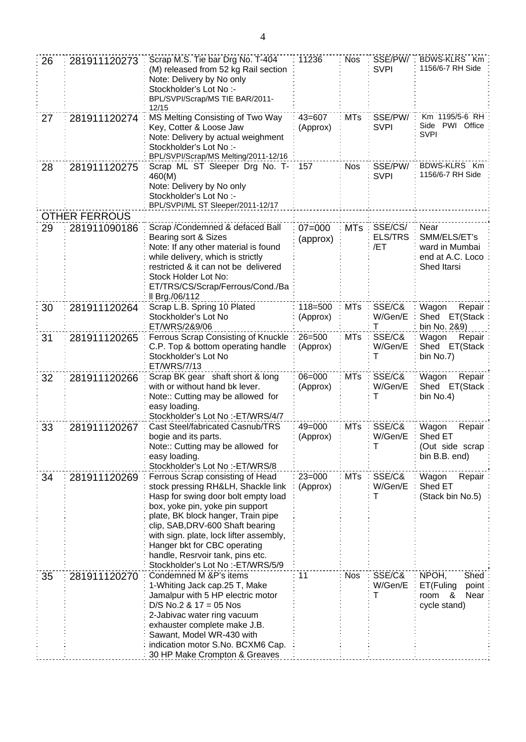| 26 | 281911120273         | Scrap M.S. Tie bar Drg No. T-404<br>(M) released from 52 kg Rail section<br>Note: Delivery by No only<br>Stockholder's Lot No :-<br>BPL/SVPI/Scrap/MS TIE BAR/2011-<br>12/15                                                                                                                                                                                                    | 11236                  | <b>Nos</b> | SSE/PW/<br><b>SVPI</b>           | BDWS-KLRS Km<br>1156/6-7 RH Side                                          |
|----|----------------------|---------------------------------------------------------------------------------------------------------------------------------------------------------------------------------------------------------------------------------------------------------------------------------------------------------------------------------------------------------------------------------|------------------------|------------|----------------------------------|---------------------------------------------------------------------------|
| 27 | 281911120274         | MS Melting Consisting of Two Way<br>Key, Cotter & Loose Jaw<br>Note: Delivery by actual weighment<br>Stockholder's Lot No:-<br>BPL/SVPI/Scrap/MS Melting/2011-12/16                                                                                                                                                                                                             | $43 = 607$<br>(Approx) | <b>MTs</b> | SSE/PW/<br><b>SVPI</b>           | Km 1195/5-6 RH<br>Side PWI Office<br><b>SVPI</b>                          |
| 28 | 281911120275         | Scrap ML ST Sleeper Drg No. T-<br>460(M)<br>Note: Delivery by No only<br>Stockholder's Lot No :-<br>BPL/SVPI/ML ST Sleeper/2011-12/17                                                                                                                                                                                                                                           | 157                    | <b>Nos</b> | SSE/PW/<br><b>SVPI</b>           | BDWS-KLRS Km<br>1156/6-7 RH Side                                          |
|    | <b>OTHER FERROUS</b> |                                                                                                                                                                                                                                                                                                                                                                                 |                        |            |                                  |                                                                           |
| 29 | 281911090186         | Scrap / Condemned & defaced Ball<br>Bearing sort & Sizes<br>Note: If any other material is found<br>while delivery, which is strictly<br>restricted & it can not be delivered<br>Stock Holder Lot No:<br>ET/TRS/CS/Scrap/Ferrous/Cond./Ba<br>Il Brg./06/112                                                                                                                     | $07 = 000$<br>(approx) | <b>MTs</b> | SSE/CS/<br><b>ELS/TRS</b><br>/ET | Near<br>SMM/ELS/ET's<br>ward in Mumbai<br>end at A.C. Loco<br>Shed Itarsi |
| 30 | 281911120264         | Scrap L.B. Spring 10 Plated<br>Stockholder's Lot No<br>ET/WRS/2&9/06                                                                                                                                                                                                                                                                                                            | 118=500<br>(Approx)    | <b>MTs</b> | SSE/C&<br>W/Gen/E<br>T           | Wagon<br>Repair<br>Shed ET(Stack<br>bin No. 2&9)                          |
| 31 | 281911120265         | Ferrous Scrap Consisting of Knuckle<br>C.P. Top & bottom operating handle<br>Stockholder's Lot No<br>ET/WRS/7/13                                                                                                                                                                                                                                                                | $26 = 500$<br>(Approx) | <b>MTs</b> | SSE/C&<br>W/Gen/E<br>т           | Wagon<br>Repair<br>Shed ET(Stack<br>bin No.7)                             |
| 32 | 281911120266         | Scrap BK gear shaft short & long<br>with or without hand bk lever.<br>Note:: Cutting may be allowed for<br>easy loading.<br>Stockholder's Lot No :- ET/WRS/4/7                                                                                                                                                                                                                  | $06 = 000$<br>(Approx) | <b>MTs</b> | SSE/C&<br>W/Gen/E<br>т           | Wagon<br>Repair<br>Shed ET(Stack<br>bin No.4)                             |
| 33 | 281911120267         | Cast Steel/fabricated Casnub/TRS<br>bogie and its parts.<br>Note:: Cutting may be allowed for<br>easy loading.<br>Stockholder's Lot No :-ET/WRS/8                                                                                                                                                                                                                               | $49 = 000$<br>(Approx) | <b>MTs</b> | SSE/C&<br>W/Gen/E<br>Т           | Wagon<br>Repair<br>Shed ET<br>(Out side scrap<br>bin B.B. end)            |
| 34 | 281911120269         | Ferrous Scrap consisting of Head<br>stock pressing RH&LH, Shackle link<br>Hasp for swing door bolt empty load<br>box, yoke pin, yoke pin support<br>plate, BK block hanger, Train pipe<br>clip, SAB, DRV-600 Shaft bearing<br>with sign. plate, lock lifter assembly,<br>Hanger bkt for CBC operating<br>handle, Resrvoir tank, pins etc.<br>Stockholder's Lot No :- ET/WRS/5/9 | $23 = 000$<br>(Approx) | <b>MTs</b> | SSE/C&<br>W/Gen/E<br>т           | Wagon<br>Repair<br>Shed ET<br>(Stack bin No.5)                            |
| 35 | 281911120270         | Condemned M &P's items<br>1-Whiting Jack cap.25 T, Make<br>Jamalpur with 5 HP electric motor<br>$D/S$ No.2 & 17 = 05 Nos<br>2-Jabivac water ring vacuum<br>exhauster complete make J.B.<br>Sawant, Model WR-430 with<br>indication motor S.No. BCXM6 Cap.<br>30 HP Make Crompton & Greaves                                                                                      | 11                     | <b>Nos</b> | SSE/C&<br>W/Gen/E<br>т           | NPOH,<br>Shed<br>ET(Fuling<br>point<br>Near<br>room<br>&<br>cycle stand)  |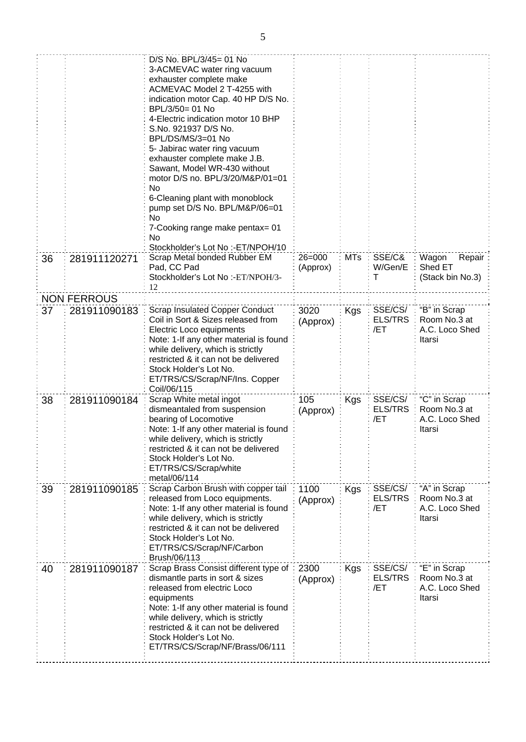|    |                    | D/S No. BPL/3/45= 01 No<br>3-ACMEVAC water ring vacuum<br>exhauster complete make<br>ACMEVAC Model 2 T-4255 with<br>indication motor Cap. 40 HP D/S No.<br>BPL/3/50= 01 No<br>4-Electric indication motor 10 BHP<br>S.No. 921937 D/S No.<br>BPL/DS/MS/3=01 No<br>5- Jabirac water ring vacuum<br>exhauster complete make J.B.<br>Sawant, Model WR-430 without<br>motor D/S no. BPL/3/20/M&P/01=01<br>No<br>6-Cleaning plant with monoblock<br>pump set D/S No. BPL/M&P/06=01<br>No<br>7-Cooking range make pentax= 01<br>No<br>Stockholder's Lot No :-ET/NPOH/10 |                        |            |                                  |                                                          |
|----|--------------------|------------------------------------------------------------------------------------------------------------------------------------------------------------------------------------------------------------------------------------------------------------------------------------------------------------------------------------------------------------------------------------------------------------------------------------------------------------------------------------------------------------------------------------------------------------------|------------------------|------------|----------------------------------|----------------------------------------------------------|
| 36 | 281911120271       | Scrap Metal bonded Rubber EM<br>Pad, CC Pad<br>Stockholder's Lot No:-ET/NPOH/3-<br>12                                                                                                                                                                                                                                                                                                                                                                                                                                                                            | $26 = 000$<br>(Approx) | <b>MTs</b> | SSE/C&<br>W/Gen/E<br>т           | Wagon<br>Repair<br>Shed ET<br>(Stack bin No.3)           |
|    | <b>NON FERROUS</b> |                                                                                                                                                                                                                                                                                                                                                                                                                                                                                                                                                                  |                        |            |                                  |                                                          |
| 37 | 281911090183       | <b>Scrap Insulated Copper Conduct</b><br>Coil in Sort & Sizes released from<br>Electric Loco equipments<br>Note: 1-If any other material is found<br>while delivery, which is strictly<br>restricted & it can not be delivered<br>Stock Holder's Lot No.<br>ET/TRS/CS/Scrap/NF/Ins. Copper<br>Coil/06/115                                                                                                                                                                                                                                                        | 3020<br>(Approx)       | Kgs        | SSE/CS/<br><b>ELS/TRS</b><br>/ET | "B" in Scrap<br>Room No.3 at<br>A.C. Loco Shed<br>Itarsi |
| 38 | 281911090184       | Scrap White metal ingot<br>dismeantaled from suspension<br>bearing of Locomotive<br>Note: 1-If any other material is found<br>while delivery, which is strictly<br>restricted & it can not be delivered<br>Stock Holder's Lot No.<br>ET/TRS/CS/Scrap/white<br>metal/06/114                                                                                                                                                                                                                                                                                       | 105<br>(Approx)        | Kgs        | SSE/CS/<br><b>ELS/TRS</b><br>/ET | "C" in Scrap<br>Room No.3 at<br>A.C. Loco Shed<br>Itarsi |
| 39 | 281911090185       | Scrap Carbon Brush with copper tail<br>released from Loco equipments.<br>Note: 1-If any other material is found<br>while delivery, which is strictly<br>restricted & it can not be delivered<br>Stock Holder's Lot No.<br>ET/TRS/CS/Scrap/NF/Carbon<br>Brush/06/113                                                                                                                                                                                                                                                                                              | 1100<br>(Approx)       | Kgs        | SSE/CS/<br><b>ELS/TRS</b><br>/ET | "A" in Scrap<br>Room No.3 at<br>A.C. Loco Shed<br>Itarsi |
| 40 | 281911090187       | Scrap Brass Consist different type of<br>dismantle parts in sort & sizes<br>released from electric Loco<br>equipments<br>Note: 1-If any other material is found<br>while delivery, which is strictly<br>restricted & it can not be delivered<br>Stock Holder's Lot No.<br>ET/TRS/CS/Scrap/NF/Brass/06/111                                                                                                                                                                                                                                                        | 2300<br>(Approx)       | Kgs        | SSE/CS/<br><b>ELS/TRS</b><br>/ET | "E" in Scrap<br>Room No.3 at<br>A.C. Loco Shed<br>Itarsi |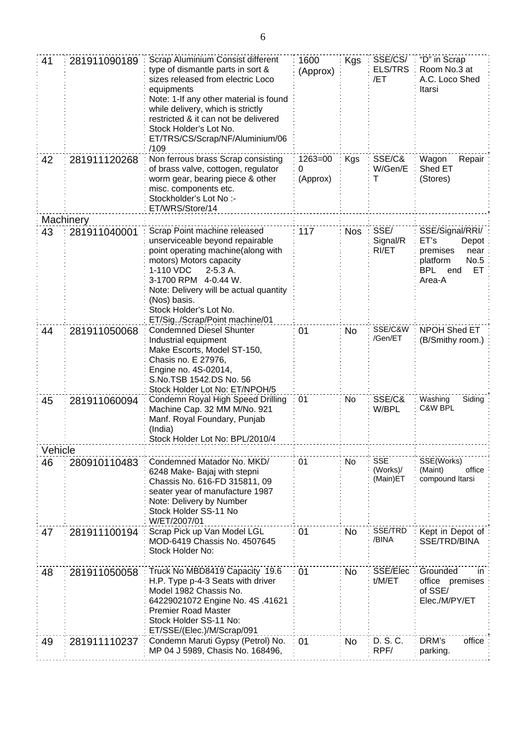| 41      | 281911090189 | Scrap Aluminium Consist different<br>type of dismantle parts in sort &<br>sizes released from electric Loco<br>equipments<br>Note: 1-If any other material is found<br>while delivery, which is strictly<br>restricted & it can not be delivered<br>Stock Holder's Lot No.<br>ET/TRS/CS/Scrap/NF/Aluminium/06<br>/109 | 1600<br>(Approx)             | <b>Kgs</b> | SSE/CS/<br><b>ELS/TRS</b><br>/ET   | "D" in Scrap<br>Room No.3 at<br>A.C. Loco Shed<br>Itarsi                                                      |
|---------|--------------|-----------------------------------------------------------------------------------------------------------------------------------------------------------------------------------------------------------------------------------------------------------------------------------------------------------------------|------------------------------|------------|------------------------------------|---------------------------------------------------------------------------------------------------------------|
| 42      | 281911120268 | Non ferrous brass Scrap consisting<br>of brass valve, cottogen, regulator<br>worm gear, bearing piece & other<br>misc. components etc.<br>Stockholder's Lot No :-<br>ET/WRS/Store/14                                                                                                                                  | $1263 = 00$<br>0<br>(Approx) | Kgs        | SSE/C&<br>W/Gen/E<br>Т             | Wagon<br>Repair<br>Shed ET<br>(Stores)                                                                        |
|         | Machinery    |                                                                                                                                                                                                                                                                                                                       |                              |            |                                    |                                                                                                               |
| 43      | 281911040001 | Scrap Point machine released<br>unserviceable beyond repairable<br>point operating machine(along with<br>motors) Motors capacity<br>1-110 VDC<br>$2-5.3A$ .<br>3-1700 RPM 4-0.44 W.<br>Note: Delivery will be actual quantity<br>(Nos) basis.<br>Stock Holder's Lot No.<br>ET/Sig/Scrap/Point machine/01              | 117                          | <b>Nos</b> | SSE/<br>Signal/R<br>RI/ET          | SSE/Signal/RRI/<br>ET's<br>Depot<br>premises<br>near<br>No.5<br>platform<br><b>BPL</b><br>ET<br>end<br>Area-A |
| 44      | 281911050068 | <b>Condemned Diesel Shunter</b><br>Industrial equipment<br>Make Escorts, Model ST-150,<br>Chasis no. E 27976,<br>Engine no. 4S-02014,<br>S.No.TSB 1542.DS No. 56<br>Stock Holder Lot No: ET/NPOH/5                                                                                                                    | 01                           | <b>No</b>  | SSE/C&W<br>/Gen/ET                 | NPOH Shed ET<br>(B/Smithy room.)                                                                              |
| 45      | 281911060094 | Condemn Royal High Speed Drilling<br>Machine Cap. 32 MM M/No. 921<br>Manf. Royal Foundary, Punjab<br>(India)<br>Stock Holder Lot No: BPL/2010/4                                                                                                                                                                       | 01                           | No         | SSE/C&<br>W/BPL                    | Washing<br>Siding<br>C&W BPL                                                                                  |
| Vehicle |              |                                                                                                                                                                                                                                                                                                                       |                              |            |                                    |                                                                                                               |
| 46      | 280910110483 | Condemned Matador No. MKD/<br>6248 Make- Bajaj with stepni<br>Chassis No. 616-FD 315811, 09<br>seater year of manufacture 1987<br>Note: Delivery by Number<br>Stock Holder SS-11 No<br>W/ET/2007/01                                                                                                                   | 01                           | No         | <b>SSE</b><br>(Works)/<br>(Main)ET | SSE(Works)<br>office<br>(Maint)<br>compound Itarsi                                                            |
| 47      | 281911100194 | Scrap Pick up Van Model LGL<br>MOD-6419 Chassis No. 4507645<br>Stock Holder No:                                                                                                                                                                                                                                       | 01                           | <b>No</b>  | SSE/TRD<br>/BINA                   | Kept in Depot of<br>SSE/TRD/BINA                                                                              |
| 48      | 281911050058 | Truck No MBD8419 Capacity 19.6<br>H.P. Type p-4-3 Seats with driver<br>Model 1982 Chassis No.<br>64229021072 Engine No. 4S .41621<br><b>Premier Road Master</b><br>Stock Holder SS-11 No:<br>ET/SSE/(Elec.)/M/Scrap/091                                                                                               | 01                           | <b>No</b>  | SSE/Elec<br>t/M/ET                 | Grounded<br>in<br>office premises<br>of SSE/<br>Elec./M/PY/ET                                                 |
| 49      | 281911110237 | Condemn Maruti Gypsy (Petrol) No.<br>MP 04 J 5989, Chasis No. 168496,                                                                                                                                                                                                                                                 | 01                           | No.        | D. S. C.<br>RPF/                   | DRM's<br>office<br>parking.                                                                                   |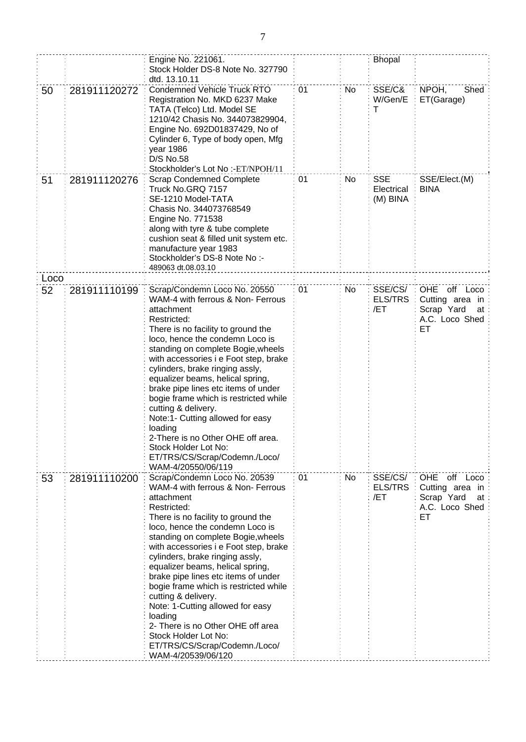|      |              | Engine No. 221061.<br>Stock Holder DS-8 Note No. 327790<br>dtd. 13.10.11                                                                                                                                                                                                                                                                                                                                                                                                                                                                                                                                |    |    | <b>Bhopal</b>                        |                                                                                          |
|------|--------------|---------------------------------------------------------------------------------------------------------------------------------------------------------------------------------------------------------------------------------------------------------------------------------------------------------------------------------------------------------------------------------------------------------------------------------------------------------------------------------------------------------------------------------------------------------------------------------------------------------|----|----|--------------------------------------|------------------------------------------------------------------------------------------|
| 50   | 281911120272 | <b>Condemned Vehicle Truck RTO</b><br>Registration No. MKD 6237 Make<br>TATA (Telco) Ltd. Model SE<br>1210/42 Chasis No. 344073829904,<br>Engine No. 692D01837429, No of<br>Cylinder 6, Type of body open, Mfg<br>year 1986<br>D/S No.58<br>Stockholder's Lot No:-ET/NPOH/11                                                                                                                                                                                                                                                                                                                            | 01 | No | SSE/C&<br>W/Gen/E<br>T               | NPOH,<br>Shed<br>ET(Garage)                                                              |
| 51   | 281911120276 | <b>Scrap Condemned Complete</b><br>Truck No.GRQ 7157<br>SE-1210 Model-TATA<br>Chasis No. 344073768549<br>Engine No. 771538<br>along with tyre & tube complete<br>cushion seat & filled unit system etc.<br>manufacture year 1983<br>Stockholder's DS-8 Note No:-<br>489063 dt.08.03.10                                                                                                                                                                                                                                                                                                                  | 01 | No | <b>SSE</b><br>Electrical<br>(M) BINA | SSE/Elect.(M)<br><b>BINA</b>                                                             |
| Loco |              |                                                                                                                                                                                                                                                                                                                                                                                                                                                                                                                                                                                                         |    |    |                                      |                                                                                          |
| 52   | 281911110199 | Scrap/Condemn Loco No. 20550<br>WAM-4 with ferrous & Non- Ferrous<br>attachment<br>Restricted:<br>There is no facility to ground the<br>loco, hence the condemn Loco is<br>standing on complete Bogie, wheels<br>with accessories i e Foot step, brake<br>cylinders, brake ringing assly,<br>equalizer beams, helical spring,<br>brake pipe lines etc items of under<br>bogie frame which is restricted while<br>cutting & delivery.<br>Note:1- Cutting allowed for easy<br>loading<br>2-There is no Other OHE off area.<br>Stock Holder Lot No:<br>ET/TRS/CS/Scrap/Codemn./Loco/<br>WAM-4/20550/06/119 | 01 | No | SSE/CS/<br><b>ELS/TRS</b><br>/ET     | off<br><b>OHE</b><br>Loco<br>Cutting area in<br>Scrap Yard<br>at<br>A.C. Loco Shed<br>EТ |
| 53   | 281911110200 | Scrap/Condemn Loco No. 20539<br>WAM-4 with ferrous & Non- Ferrous<br>attachment<br>Restricted:<br>There is no facility to ground the<br>loco, hence the condemn Loco is<br>standing on complete Bogie, wheels<br>with accessories i e Foot step, brake<br>cylinders, brake ringing assly,<br>equalizer beams, helical spring,<br>brake pipe lines etc items of under<br>bogie frame which is restricted while<br>cutting & delivery.<br>Note: 1-Cutting allowed for easy<br>loading<br>2- There is no Other OHE off area<br>Stock Holder Lot No:<br>ET/TRS/CS/Scrap/Codemn./Loco/<br>WAM-4/20539/06/120 | 01 | No | SSE/CS/<br>ELS/TRS<br>/ET            | OHE off Loco<br>Cutting area in<br>Scrap Yard<br>at<br>A.C. Loco Shed<br>EТ              |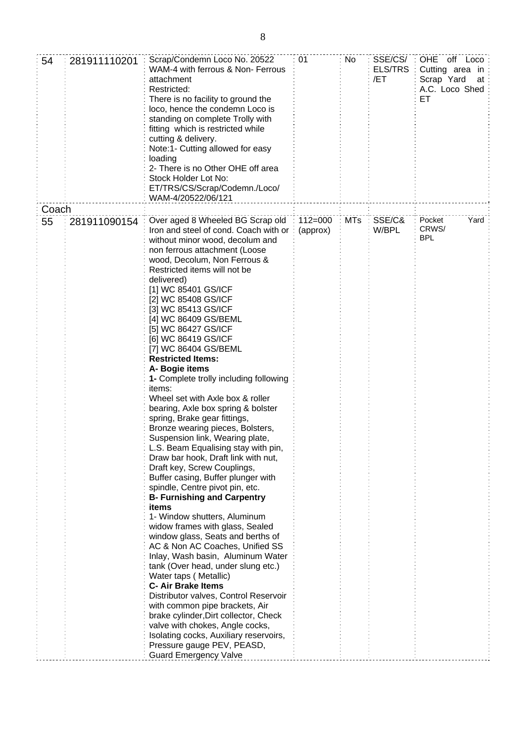| 54    | 281911110201 | Scrap/Condemn Loco No. 20522<br>WAM-4 with ferrous & Non- Ferrous<br>attachment<br>Restricted:<br>There is no facility to ground the<br>loco, hence the condemn Loco is<br>standing on complete Trolly with<br>fitting which is restricted while<br>cutting & delivery.<br>Note:1- Cutting allowed for easy<br>loading<br>2- There is no Other OHE off area<br>Stock Holder Lot No:<br>ET/TRS/CS/Scrap/Codemn./Loco/<br>WAM-4/20522/06/121                                                                                                                                                                                                                                                                                                                                                                                                                                                                                                                                                                                                                                                                                                                                                                                                                                                                                                                | 01                      | No         | SSE/CS/<br><b>ELS/TRS</b><br>/ET | OHE off Loco<br>Cutting area in<br>Scrap Yard<br>at<br>A.C. Loco Shed<br>EТ |
|-------|--------------|-----------------------------------------------------------------------------------------------------------------------------------------------------------------------------------------------------------------------------------------------------------------------------------------------------------------------------------------------------------------------------------------------------------------------------------------------------------------------------------------------------------------------------------------------------------------------------------------------------------------------------------------------------------------------------------------------------------------------------------------------------------------------------------------------------------------------------------------------------------------------------------------------------------------------------------------------------------------------------------------------------------------------------------------------------------------------------------------------------------------------------------------------------------------------------------------------------------------------------------------------------------------------------------------------------------------------------------------------------------|-------------------------|------------|----------------------------------|-----------------------------------------------------------------------------|
| Coach |              |                                                                                                                                                                                                                                                                                                                                                                                                                                                                                                                                                                                                                                                                                                                                                                                                                                                                                                                                                                                                                                                                                                                                                                                                                                                                                                                                                           |                         |            |                                  |                                                                             |
| 55    | 281911090154 | Over aged 8 Wheeled BG Scrap old<br>Iron and steel of cond. Coach with or<br>without minor wood, decolum and<br>non ferrous attachment (Loose<br>wood, Decolum, Non Ferrous &<br>Restricted items will not be<br>delivered)<br>[1] WC 85401 GS/ICF<br>[2] WC 85408 GS/ICF<br>[3] WC 85413 GS/ICF<br>[4] WC 86409 GS/BEML<br>[5] WC 86427 GS/ICF<br>[6] WC 86419 GS/ICF<br>[7] WC 86404 GS/BEML<br><b>Restricted Items:</b><br>A- Bogie items<br>1- Complete trolly including following<br>items:<br>Wheel set with Axle box & roller<br>bearing, Axle box spring & bolster<br>spring, Brake gear fittings,<br>Bronze wearing pieces, Bolsters,<br>Suspension link, Wearing plate,<br>L.S. Beam Equalising stay with pin,<br>Draw bar hook, Draft link with nut,<br>Draft key, Screw Couplings,<br>Buffer casing, Buffer plunger with<br>spindle, Centre pivot pin, etc.<br><b>B- Furnishing and Carpentry</b><br>items<br>1- Window shutters, Aluminum<br>widow frames with glass, Sealed<br>window glass, Seats and berths of<br>AC & Non AC Coaches, Unified SS<br>Inlay, Wash basin, Aluminum Water<br>tank (Over head, under slung etc.)<br>Water taps (Metallic)<br><b>C- Air Brake Items</b><br>Distributor valves, Control Reservoir<br>with common pipe brackets, Air<br>brake cylinder, Dirt collector, Check<br>valve with chokes, Angle cocks, | $112 = 000$<br>(approx) | <b>MTs</b> | SSE/C&<br>W/BPL                  | Yard<br>Pocket<br>CRWS/<br><b>BPL</b>                                       |
|       |              | Isolating cocks, Auxiliary reservoirs,<br>Pressure gauge PEV, PEASD,                                                                                                                                                                                                                                                                                                                                                                                                                                                                                                                                                                                                                                                                                                                                                                                                                                                                                                                                                                                                                                                                                                                                                                                                                                                                                      |                         |            |                                  |                                                                             |
|       |              | <b>Guard Emergency Valve</b>                                                                                                                                                                                                                                                                                                                                                                                                                                                                                                                                                                                                                                                                                                                                                                                                                                                                                                                                                                                                                                                                                                                                                                                                                                                                                                                              |                         |            |                                  |                                                                             |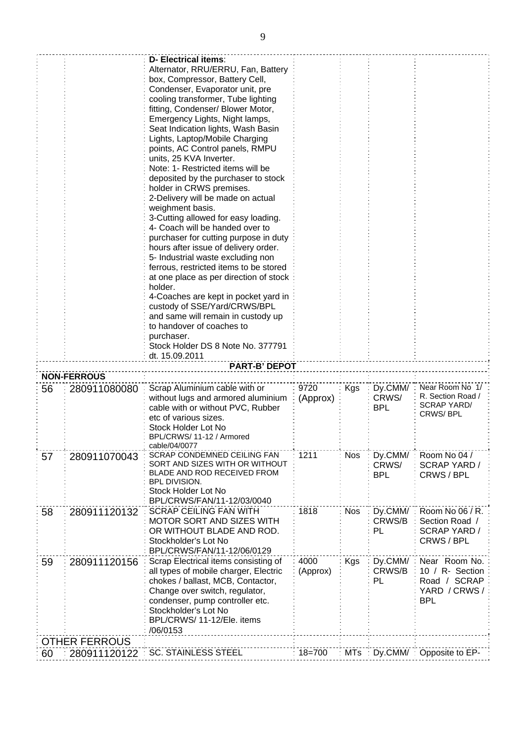|    |                      | <b>D- Electrical items:</b>                                                   |              |            |            |                               |
|----|----------------------|-------------------------------------------------------------------------------|--------------|------------|------------|-------------------------------|
|    |                      | Alternator, RRU/ERRU, Fan, Battery                                            |              |            |            |                               |
|    |                      | box, Compressor, Battery Cell,                                                |              |            |            |                               |
|    |                      | Condenser, Evaporator unit, pre                                               |              |            |            |                               |
|    |                      | cooling transformer, Tube lighting                                            |              |            |            |                               |
|    |                      | fitting, Condenser/ Blower Motor,                                             |              |            |            |                               |
|    |                      | Emergency Lights, Night lamps,                                                |              |            |            |                               |
|    |                      | Seat Indication lights, Wash Basin                                            |              |            |            |                               |
|    |                      | Lights, Laptop/Mobile Charging                                                |              |            |            |                               |
|    |                      | points, AC Control panels, RMPU                                               |              |            |            |                               |
|    |                      | units, 25 KVA Inverter.                                                       |              |            |            |                               |
|    |                      | Note: 1- Restricted items will be                                             |              |            |            |                               |
|    |                      | deposited by the purchaser to stock                                           |              |            |            |                               |
|    |                      | holder in CRWS premises.                                                      |              |            |            |                               |
|    |                      | 2-Delivery will be made on actual                                             |              |            |            |                               |
|    |                      | weighment basis.                                                              |              |            |            |                               |
|    |                      | 3-Cutting allowed for easy loading.                                           |              |            |            |                               |
|    |                      | 4- Coach will be handed over to                                               |              |            |            |                               |
|    |                      |                                                                               |              |            |            |                               |
|    |                      | purchaser for cutting purpose in duty<br>hours after issue of delivery order. |              |            |            |                               |
|    |                      |                                                                               |              |            |            |                               |
|    |                      | 5- Industrial waste excluding non<br>ferrous, restricted items to be stored   |              |            |            |                               |
|    |                      |                                                                               |              |            |            |                               |
|    |                      | at one place as per direction of stock                                        |              |            |            |                               |
|    |                      | holder.                                                                       |              |            |            |                               |
|    |                      | 4-Coaches are kept in pocket yard in                                          |              |            |            |                               |
|    |                      | custody of SSE/Yard/CRWS/BPL                                                  |              |            |            |                               |
|    |                      | and same will remain in custody up                                            |              |            |            |                               |
|    |                      | to handover of coaches to                                                     |              |            |            |                               |
|    |                      | purchaser.                                                                    |              |            |            |                               |
|    |                      | Stock Holder DS 8 Note No. 377791                                             |              |            |            |                               |
|    |                      | dt. 15.09.2011                                                                |              |            |            |                               |
|    |                      | <b>PART-B' DEPOT</b>                                                          |              |            |            |                               |
|    |                      |                                                                               |              |            |            |                               |
|    | <b>NON-FERROUS</b>   |                                                                               |              |            |            |                               |
| 56 | 280911080080         | Scrap Aluminium cable with or                                                 | 9720         | Kgs        | Dy.CMM/:   | Near Room No 1/               |
|    |                      | without lugs and armored aluminium                                            | (Approx)     |            | CRWS/      | R. Section Road /             |
|    |                      | cable with or without PVC, Rubber                                             |              |            | <b>BPL</b> | <b>SCRAP YARD/</b>            |
|    |                      | etc of various sizes.                                                         |              |            |            | CRWS/BPL                      |
|    |                      | Stock Holder Lot No                                                           |              |            |            |                               |
|    |                      | BPL/CRWS/ 11-12 / Armored                                                     |              |            |            |                               |
|    |                      | cable/04/0077                                                                 |              |            |            |                               |
| 57 | 280911070043         | <b>SCRAP CONDEMNED CEILING FAN</b>                                            | 1211         | <b>Nos</b> | Dy.CMM/    | Room No 04 /                  |
|    |                      | SORT AND SIZES WITH OR WITHOUT                                                |              |            | CRWS/      | SCRAP YARD /                  |
|    |                      | <b>BLADE AND ROD RECEIVED FROM</b>                                            |              |            | <b>BPL</b> | CRWS / BPL                    |
|    |                      | BPL DIVISION.                                                                 |              |            |            |                               |
|    |                      | Stock Holder Lot No                                                           |              |            |            |                               |
|    |                      | BPL/CRWS/FAN/11-12/03/0040                                                    |              |            |            |                               |
| 58 | 280911120132         | <b>SCRAP CEILING FAN WITH</b>                                                 | 1818         | <b>Nos</b> | Dy.CMM/    | Room No 06 / R.               |
|    |                      | <b>MOTOR SORT AND SIZES WITH</b>                                              |              |            | CRWS/B     | Section Road /                |
|    |                      | OR WITHOUT BLADE AND ROD.                                                     |              |            | <b>PL</b>  | <b>SCRAP YARD /</b>           |
|    |                      | Stockholder's Lot No                                                          |              |            |            | CRWS / BPL                    |
|    |                      | BPL/CRWS/FAN/11-12/06/0129                                                    |              |            |            |                               |
| 59 | 280911120156         | Scrap Electrical items consisting of                                          | 4000         | Kgs        | Dy.CMM/ :  | Near Room No.                 |
|    |                      | all types of mobile charger, Electric                                         | (Approx)     |            | CRWS/B     | 10 / R- Section               |
|    |                      | chokes / ballast, MCB, Contactor,                                             |              |            | PL         | Road / SCRAP                  |
|    |                      | Change over switch, regulator,                                                |              |            |            | YARD / CRWS /                 |
|    |                      | condenser, pump controller etc.                                               |              |            |            | <b>BPL</b>                    |
|    |                      | Stockholder's Lot No                                                          |              |            |            |                               |
|    |                      | BPL/CRWS/ 11-12/Ele. items                                                    |              |            |            |                               |
|    |                      | /06/0153                                                                      |              |            |            |                               |
|    | <b>OTHER FERROUS</b> | <b>SC. STAINLESS STEEL</b>                                                    | $: 18 = 700$ |            |            | MTs: Dy.CMM/: Opposite to EP- |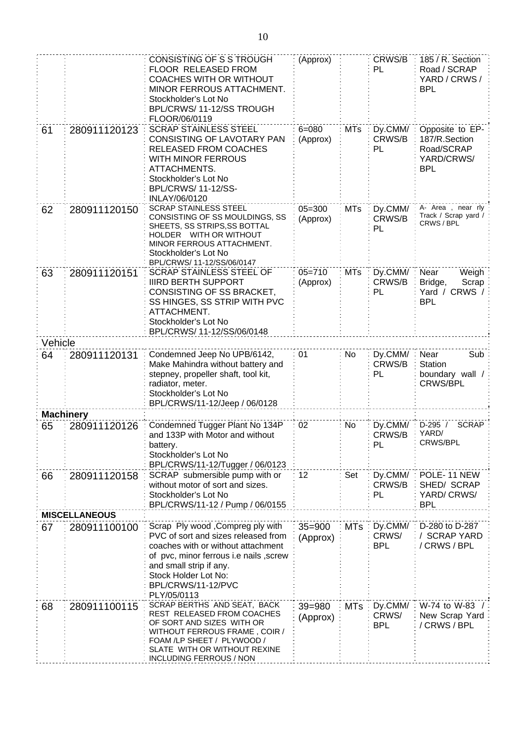|         |                      | CONSISTING OF S S TROUGH                                                      | (Approx)   |            | CRWS/B       | 185 / R. Section                   |
|---------|----------------------|-------------------------------------------------------------------------------|------------|------------|--------------|------------------------------------|
|         |                      | FLOOR RELEASED FROM<br><b>COACHES WITH OR WITHOUT</b>                         |            |            | PL           | Road / SCRAP<br>YARD / CRWS /      |
|         |                      | MINOR FERROUS ATTACHMENT.                                                     |            |            |              | <b>BPL</b>                         |
|         |                      | Stockholder's Lot No                                                          |            |            |              |                                    |
|         |                      | BPL/CRWS/11-12/SS TROUGH                                                      |            |            |              |                                    |
|         |                      | FLOOR/06/0119                                                                 |            |            |              |                                    |
| 61      | 280911120123         | <b>SCRAP STAINLESS STEEL</b>                                                  | $6 = 080$  | <b>MTs</b> | Dy.CMM/      | Opposite to EP-                    |
|         |                      | CONSISTING OF LAVOTARY PAN                                                    | (Approx)   |            | CRWS/B       | 187/R.Section                      |
|         |                      | RELEASED FROM COACHES                                                         |            |            | PL           | Road/SCRAP                         |
|         |                      | WITH MINOR FERROUS                                                            |            |            |              | YARD/CRWS/                         |
|         |                      | ATTACHMENTS.<br>Stockholder's Lot No                                          |            |            |              | <b>BPL</b>                         |
|         |                      | BPL/CRWS/ 11-12/SS-                                                           |            |            |              |                                    |
|         |                      | INLAY/06/0120                                                                 |            |            |              |                                    |
| 62      | 280911120150         | <b>SCRAP STAINLESS STEEL</b>                                                  | $05 = 300$ | <b>MTs</b> | Dy.CMM/      | A- Area, near rly                  |
|         |                      | CONSISTING OF SS MOULDINGS, SS                                                | (Approx)   |            | CRWS/B       | Track / Scrap yard /<br>CRWS / BPL |
|         |                      | SHEETS, SS STRIPS,SS BOTTAL<br>HOLDER WITH OR WITHOUT                         |            |            | PL           |                                    |
|         |                      | MINOR FERROUS ATTACHMENT.                                                     |            |            |              |                                    |
|         |                      | Stockholder's Lot No                                                          |            |            |              |                                    |
|         |                      | BPL/CRWS/ 11-12/SS/06/0147                                                    |            |            |              |                                    |
| 63      | 280911120151         | <b>SCRAP STAINLESS STEEL OF</b>                                               | $05 = 710$ | <b>MTs</b> | Dy.CMM/      | Near<br>Weigh                      |
|         |                      | <b>IIIRD BERTH SUPPORT</b><br>CONSISTING OF SS BRACKET,                       | (Approx)   |            | CRWS/B<br>PL | Scrap<br>Bridge,<br>Yard / CRWS /  |
|         |                      | SS HINGES, SS STRIP WITH PVC                                                  |            |            |              | <b>BPL</b>                         |
|         |                      | ATTACHMENT.                                                                   |            |            |              |                                    |
|         |                      | Stockholder's Lot No                                                          |            |            |              |                                    |
|         |                      | BPL/CRWS/ 11-12/SS/06/0148                                                    |            |            |              |                                    |
| Vehicle |                      |                                                                               |            |            |              |                                    |
| 64      | 280911120131         | Condemned Jeep No UPB/6142,                                                   | 01         | No         | Dy.CMM/      | Near<br>Sub                        |
|         |                      | Make Mahindra without battery and                                             |            |            | CRWS/B       | Station                            |
|         |                      | stepney, propeller shaft, tool kit,<br>radiator, meter.                       |            |            | PL           | boundary wall /<br><b>CRWS/BPL</b> |
|         |                      | Stockholder's Lot No                                                          |            |            |              |                                    |
|         |                      | BPL/CRWS/11-12/Jeep / 06/0128                                                 |            |            |              |                                    |
|         | <b>Machinery</b>     |                                                                               |            |            |              |                                    |
| 65      | 280911120126         | Condemned Tugger Plant No 134P                                                | 02         | No         | Dy.CMM/      | D-295 /<br><b>SCRAP</b>            |
|         |                      | and 133P with Motor and without                                               |            |            | CRWS/B       | YARD/                              |
|         |                      | battery.                                                                      |            |            | PL           | CRWS/BPL                           |
|         |                      | Stockholder's Lot No<br>BPL/CRWS/11-12/Tugger / 06/0123                       |            |            |              |                                    |
| 66      | 280911120158         | SCRAP submersible pump with or                                                | 12         | Set        | Dy.CMM/      | POLE-11 NEW                        |
|         |                      | without motor of sort and sizes.                                              |            |            | CRWS/B       | SHED/ SCRAP                        |
|         |                      | Stockholder's Lot No                                                          |            |            | PL           | YARD/CRWS/                         |
|         |                      | BPL/CRWS/11-12 / Pump / 06/0155                                               |            |            |              | <b>BPL</b>                         |
|         | <b>MISCELLANEOUS</b> |                                                                               |            |            |              |                                    |
| 67      | 280911100100         | Scrap Ply wood , Compreg ply with                                             | $35 = 900$ | <b>MTs</b> | Dy.CMM/      | D-280 to D-287                     |
|         |                      | PVC of sort and sizes released from                                           | (Approx)   |            | CRWS/        | / SCRAP YARD                       |
|         |                      | coaches with or without attachment<br>of pvc, minor ferrous i.e nails , screw |            |            | <b>BPL</b>   | / CRWS / BPL                       |
|         |                      | and small strip if any.                                                       |            |            |              |                                    |
|         |                      | Stock Holder Lot No:                                                          |            |            |              |                                    |
|         |                      | BPL/CRWS/11-12/PVC                                                            |            |            |              |                                    |
|         |                      | PLY/05/0113                                                                   |            |            |              |                                    |
| 68      | 280911100115         | SCRAP BERTHS AND SEAT, BACK                                                   | 39=980     | MTs        | Dy.CMM/      | W-74 to W-83                       |
|         |                      | REST RELEASED FROM COACHES<br>OF SORT AND SIZES WITH OR                       | (Approx)   |            | CRWS/        | New Scrap Yard                     |
|         |                      | WITHOUT FERROUS FRAME, COIR /                                                 |            |            | <b>BPL</b>   | / CRWS / BPL                       |
|         |                      | FOAM /LP SHEET / PLYWOOD /                                                    |            |            |              |                                    |
|         |                      |                                                                               |            |            |              |                                    |
|         |                      | SLATE WITH OR WITHOUT REXINE<br><b>INCLUDING FERROUS / NON</b>                |            |            |              |                                    |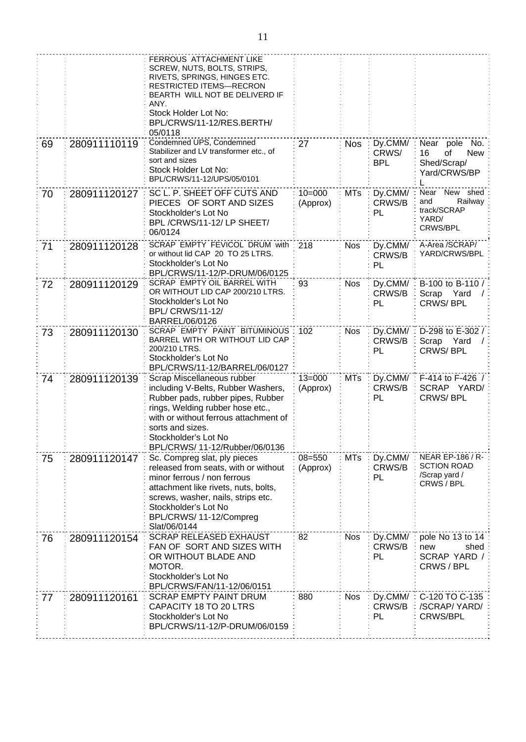|    |              | FERROUS ATTACHMENT LIKE                                                 |            |            |                   |                                     |
|----|--------------|-------------------------------------------------------------------------|------------|------------|-------------------|-------------------------------------|
|    |              | SCREW, NUTS, BOLTS, STRIPS,                                             |            |            |                   |                                     |
|    |              | RIVETS, SPRINGS, HINGES ETC.<br><b>RESTRICTED ITEMS-RECRON</b>          |            |            |                   |                                     |
|    |              | BEARTH WILL NOT BE DELIVERD IF<br>ANY.                                  |            |            |                   |                                     |
|    |              | Stock Holder Lot No:                                                    |            |            |                   |                                     |
|    |              | BPL/CRWS/11-12/RES.BERTH/<br>05/0118                                    |            |            |                   |                                     |
| 69 | 280911110119 | Condemned UPS, Condemned                                                | 27         | <b>Nos</b> | Dy.CMM/           | Near<br>pole<br>No.                 |
|    |              | Stabilizer and LV transformer etc., of                                  |            |            | CRWS/             | 16<br>0f<br><b>New</b>              |
|    |              | sort and sizes<br>Stock Holder Lot No:                                  |            |            | <b>BPL</b>        | Shed/Scrap/                         |
|    |              | BPL/CRWS/11-12/UPS/05/0101                                              |            |            |                   | Yard/CRWS/BP                        |
| 70 | 280911120127 | SC L. P. SHEET OFF CUTS AND                                             | $10 = 000$ | <b>MTs</b> | Dy.CMM/           | Near New shed                       |
|    |              | PIECES OF SORT AND SIZES                                                | (Approx)   |            | CRWS/B            | Railway<br>and                      |
|    |              | Stockholder's Lot No                                                    |            |            | PL                | track/SCRAP<br>YARD/                |
|    |              | BPL/CRWS/11-12/LP SHEET/<br>06/0124                                     |            |            |                   | CRWS/BPL                            |
| 71 | 280911120128 | <b>SCRAP EMPTY FEVICOL DRUM with</b>                                    | 218        | <b>Nos</b> | Dy.CMM/           | A-Area /SCRAP/                      |
|    |              | or without lid CAP 20 TO 25 LTRS.                                       |            |            | CRWS/B            | YARD/CRWS/BPL                       |
|    |              | Stockholder's Lot No<br>BPL/CRWS/11-12/P-DRUM/06/0125                   |            |            | PL                |                                     |
| 72 | 280911120129 | SCRAP EMPTY OIL BARREL WITH                                             | 93         | <b>Nos</b> | Dy.CMM/           | B-100 to B-110 /                    |
|    |              | OR WITHOUT LID CAP 200/210 LTRS.                                        |            |            | CRWS/B            | Scrap<br>Yard                       |
|    |              | Stockholder's Lot No<br><b>BPL/ CRWS/11-12/</b>                         |            |            | PL                | <b>CRWS/BPL</b>                     |
|    |              | BARREL/06/0126                                                          |            |            |                   |                                     |
| 73 | 280911120130 | SCRAP EMPTY PAINT BITUMINOUS                                            | 102        | <b>Nos</b> | Dy.CMM/           | D-298 to E-302 /                    |
|    |              | BARREL WITH OR WITHOUT LID CAP<br>200/210 LTRS.                         |            |            | CRWS/B            | Scrap<br>Yard                       |
|    |              | Stockholder's Lot No                                                    |            |            | PL                | CRWS/BPL                            |
|    |              | BPL/CRWS/11-12/BARREL/06/0127                                           |            |            |                   |                                     |
| 74 | 280911120139 | Scrap Miscellaneous rubber                                              | $13 = 000$ | <b>MTs</b> | Dy.CMM/<br>CRWS/B | F-414 to F-426 /<br>SCRAP YARD/     |
|    |              | including V-Belts, Rubber Washers,<br>Rubber pads, rubber pipes, Rubber | (Approx)   |            | PL                | <b>CRWS/BPL</b>                     |
|    |              | rings, Welding rubber hose etc.,                                        |            |            |                   |                                     |
|    |              | with or without ferrous attachment of                                   |            |            |                   |                                     |
|    |              | sorts and sizes.<br>Stockholder's Lot No                                |            |            |                   |                                     |
|    |              | BPL/CRWS/ 11-12/Rubber/06/0136                                          |            |            |                   |                                     |
| 75 | 280911120147 | Sc. Compreg slat, ply pieces                                            | $08 = 550$ | <b>MTs</b> | Dy.CMM/           | <b>NEAR EP-186 / R-</b>             |
|    |              | released from seats, with or without                                    | (Approx)   |            | CRWS/B            | <b>SCTION ROAD</b><br>/Scrap yard / |
|    |              | minor ferrous / non ferrous<br>attachment like rivets, nuts, bolts,     |            |            | PL                | CRWS / BPL                          |
|    |              | screws, washer, nails, strips etc.                                      |            |            |                   |                                     |
|    |              | Stockholder's Lot No                                                    |            |            |                   |                                     |
|    |              | BPL/CRWS/ 11-12/Compreg<br>Slat/06/0144                                 |            |            |                   |                                     |
| 76 | 280911120154 | <b>SCRAP RELEASED EXHAUST</b>                                           | 82         | <b>Nos</b> | Dy.CMM/           | pole No 13 to 14                    |
|    |              | FAN OF SORT AND SIZES WITH                                              |            |            | CRWS/B            | new<br>shed                         |
|    |              | OR WITHOUT BLADE AND                                                    |            |            | PL                | SCRAP YARD /                        |
|    |              | MOTOR.<br>Stockholder's Lot No                                          |            |            |                   | CRWS / BPL                          |
|    |              | BPL/CRWS/FAN/11-12/06/0151                                              |            |            |                   |                                     |
| 77 | 280911120161 | <b>SCRAP EMPTY PAINT DRUM</b>                                           | 880        | <b>Nos</b> | Dy.CMM/           | C-120 TO C-135                      |
|    |              | CAPACITY 18 TO 20 LTRS<br>Stockholder's Lot No                          |            |            | CRWS/B<br>PL      | /SCRAP/YARD/<br><b>CRWS/BPL</b>     |
|    |              | BPL/CRWS/11-12/P-DRUM/06/0159                                           |            |            |                   |                                     |
|    |              |                                                                         |            |            |                   |                                     |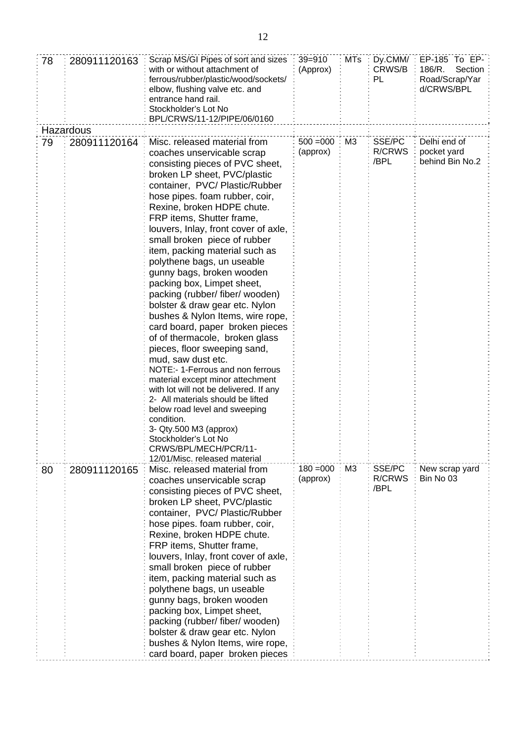| 78 | 280911120163 | Scrap MS/GI Pipes of sort and sizes<br>with or without attachment of<br>ferrous/rubber/plastic/wood/sockets/<br>elbow, flushing valve etc. and<br>entrance hand rail.<br>Stockholder's Lot No<br>BPL/CRWS/11-12/PIPE/06/0160                                                                                                                                                                                                                                                                                                                                                                                                                                                                                                                                                                                                                                                                                                                                                         | $39 = 910$<br>(Approx)  | <b>MTs</b>     | Dy.CMM/:<br>CRWS/B<br>PL | $EP-185$ To $EP-$<br>186/R.<br>Section<br>Road/Scrap/Yar<br>d/CRWS/BPL |
|----|--------------|--------------------------------------------------------------------------------------------------------------------------------------------------------------------------------------------------------------------------------------------------------------------------------------------------------------------------------------------------------------------------------------------------------------------------------------------------------------------------------------------------------------------------------------------------------------------------------------------------------------------------------------------------------------------------------------------------------------------------------------------------------------------------------------------------------------------------------------------------------------------------------------------------------------------------------------------------------------------------------------|-------------------------|----------------|--------------------------|------------------------------------------------------------------------|
|    | Hazardous    |                                                                                                                                                                                                                                                                                                                                                                                                                                                                                                                                                                                                                                                                                                                                                                                                                                                                                                                                                                                      |                         |                |                          |                                                                        |
| 79 | 280911120164 | Misc. released material from<br>coaches unservicable scrap<br>consisting pieces of PVC sheet,<br>broken LP sheet, PVC/plastic<br>container, PVC/ Plastic/Rubber<br>hose pipes. foam rubber, coir,<br>Rexine, broken HDPE chute.<br>FRP items, Shutter frame,<br>louvers, Inlay, front cover of axle,<br>small broken piece of rubber<br>item, packing material such as<br>polythene bags, un useable<br>gunny bags, broken wooden<br>packing box, Limpet sheet,<br>packing (rubber/ fiber/ wooden)<br>bolster & draw gear etc. Nylon<br>bushes & Nylon Items, wire rope,<br>card board, paper broken pieces<br>of of thermacole, broken glass<br>pieces, floor sweeping sand,<br>mud, saw dust etc.<br>NOTE:- 1-Ferrous and non ferrous<br>material except minor attechment<br>with lot will not be delivered. If any<br>2- All materials should be lifted<br>below road level and sweeping<br>condition.<br>3- Qty.500 M3 (approx)<br>Stockholder's Lot No<br>CRWS/BPL/MECH/PCR/11- | $500 = 000$<br>(approx) | M3             | SSE/PC<br>R/CRWS<br>/BPL | Delhi end of<br>pocket yard<br>behind Bin No.2                         |
| 80 | 280911120165 | 12/01/Misc. released material<br>Misc. released material from<br>coaches unservicable scrap<br>consisting pieces of PVC sheet,<br>broken LP sheet, PVC/plastic<br>container, PVC/Plastic/Rubber<br>hose pipes. foam rubber, coir,<br>Rexine, broken HDPE chute.<br>FRP items, Shutter frame,<br>louvers, Inlay, front cover of axle,<br>small broken piece of rubber<br>item, packing material such as<br>polythene bags, un useable<br>gunny bags, broken wooden<br>packing box, Limpet sheet,<br>packing (rubber/ fiber/ wooden)<br>bolster & draw gear etc. Nylon<br>bushes & Nylon Items, wire rope,<br>card board, paper broken pieces                                                                                                                                                                                                                                                                                                                                          | $180 = 000$<br>(approx) | M <sub>3</sub> | SSE/PC<br>R/CRWS<br>/BPL | New scrap yard<br>Bin No 03                                            |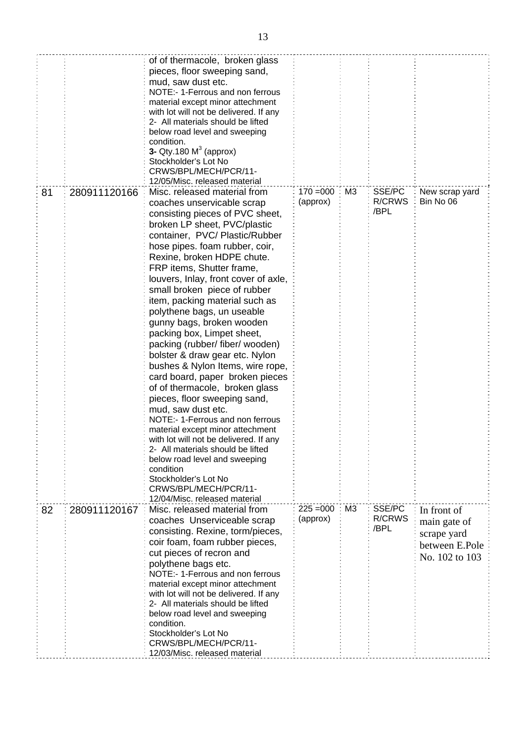|    |              | of of thermacole, broken glass<br>pieces, floor sweeping sand,<br>mud, saw dust etc.<br>NOTE:- 1-Ferrous and non ferrous<br>material except minor attechment<br>with lot will not be delivered. If any<br>2- All materials should be lifted<br>below road level and sweeping<br>condition.<br>3- Qty.180 $M3$ (approx)<br>Stockholder's Lot No<br>CRWS/BPL/MECH/PCR/11-<br>12/05/Misc. released material                                                                                                                                                                                                                                                                                                                                                                                                                                                                                                                                                                                  |                         |                |                                 |                                                                                |
|----|--------------|-------------------------------------------------------------------------------------------------------------------------------------------------------------------------------------------------------------------------------------------------------------------------------------------------------------------------------------------------------------------------------------------------------------------------------------------------------------------------------------------------------------------------------------------------------------------------------------------------------------------------------------------------------------------------------------------------------------------------------------------------------------------------------------------------------------------------------------------------------------------------------------------------------------------------------------------------------------------------------------------|-------------------------|----------------|---------------------------------|--------------------------------------------------------------------------------|
| 81 | 280911120166 | Misc. released material from<br>coaches unservicable scrap<br>consisting pieces of PVC sheet,<br>broken LP sheet, PVC/plastic<br>container, PVC/Plastic/Rubber<br>hose pipes. foam rubber, coir,<br>Rexine, broken HDPE chute.<br>FRP items, Shutter frame,<br>louvers, Inlay, front cover of axle,<br>small broken piece of rubber<br>item, packing material such as<br>polythene bags, un useable<br>gunny bags, broken wooden<br>packing box, Limpet sheet,<br>packing (rubber/ fiber/ wooden)<br>bolster & draw gear etc. Nylon<br>bushes & Nylon Items, wire rope,<br>card board, paper broken pieces<br>of of thermacole, broken glass<br>pieces, floor sweeping sand,<br>mud, saw dust etc.<br>NOTE:- 1-Ferrous and non ferrous<br>material except minor attechment<br>with lot will not be delivered. If any<br>2- All materials should be lifted<br>below road level and sweeping<br>condition<br>Stockholder's Lot No<br>CRWS/BPL/MECH/PCR/11-<br>12/04/Misc. released material | $170 = 000$<br>(approx) | M <sub>3</sub> | SSE/PC<br>R/CRWS<br>/BPL        | New scrap yard<br>Bin No 06                                                    |
| 82 | 280911120167 | Misc. released material from<br>coaches Unserviceable scrap<br>consisting. Rexine, torm/pieces,<br>coir foam, foam rubber pieces,<br>cut pieces of recron and<br>polythene bags etc.<br>NOTE:- 1-Ferrous and non ferrous<br>material except minor attechment<br>with lot will not be delivered. If any<br>2- All materials should be lifted<br>below road level and sweeping<br>condition.<br>Stockholder's Lot No<br>CRWS/BPL/MECH/PCR/11-<br>12/03/Misc. released material                                                                                                                                                                                                                                                                                                                                                                                                                                                                                                              | $225 = 000$<br>(approx) | M <sub>3</sub> | SSE/PC<br><b>R/CRWS</b><br>/BPL | In front of<br>main gate of<br>scrape yard<br>between E.Pole<br>No. 102 to 103 |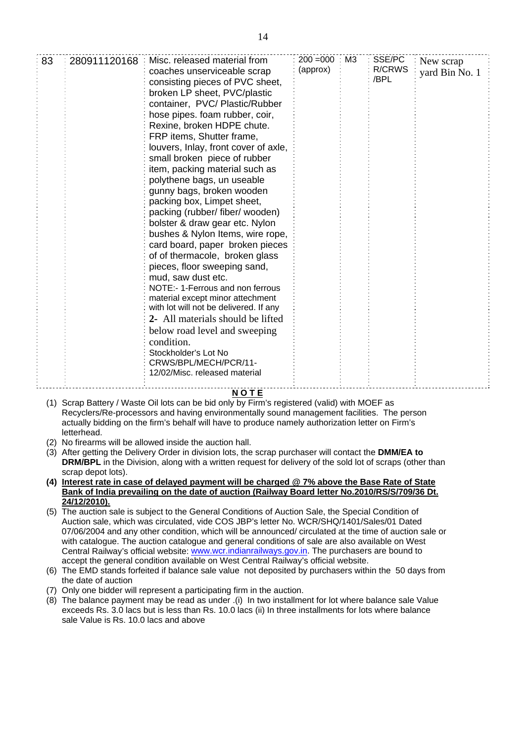| 83 | 280911120168 | Misc. released material from<br>coaches unserviceable scrap<br>consisting pieces of PVC sheet,<br>broken LP sheet, PVC/plastic<br>container, PVC/Plastic/Rubber<br>hose pipes. foam rubber, coir,<br>Rexine, broken HDPE chute.<br>FRP items, Shutter frame,<br>louvers, Inlay, front cover of axle,<br>small broken piece of rubber<br>item, packing material such as<br>polythene bags, un useable<br>gunny bags, broken wooden<br>packing box, Limpet sheet,<br>packing (rubber/ fiber/ wooden)<br>bolster & draw gear etc. Nylon<br>bushes & Nylon Items, wire rope,<br>card board, paper broken pieces<br>of of thermacole, broken glass<br>pieces, floor sweeping sand,<br>mud, saw dust etc.<br>NOTE:- 1-Ferrous and non ferrous<br>material except minor attechment<br>with lot will not be delivered. If any<br>2- All materials should be lifted<br>below road level and sweeping<br>condition. | $200 = 000$<br>(approx) | M <sub>3</sub> | SSE/PC<br><b>R/CRWS</b><br>/BPL | New scrap<br>yard Bin No. 1 |  |
|----|--------------|-----------------------------------------------------------------------------------------------------------------------------------------------------------------------------------------------------------------------------------------------------------------------------------------------------------------------------------------------------------------------------------------------------------------------------------------------------------------------------------------------------------------------------------------------------------------------------------------------------------------------------------------------------------------------------------------------------------------------------------------------------------------------------------------------------------------------------------------------------------------------------------------------------------|-------------------------|----------------|---------------------------------|-----------------------------|--|
|    |              | Stockholder's Lot No<br>CRWS/BPL/MECH/PCR/11-<br>12/02/Misc. released material                                                                                                                                                                                                                                                                                                                                                                                                                                                                                                                                                                                                                                                                                                                                                                                                                            |                         |                |                                 |                             |  |

## **N O T E**

- (1) Scrap Battery / Waste Oil lots can be bid only by Firm's registered (valid) with MOEF as Recyclers/Re-processors and having environmentally sound management facilities. The person actually bidding on the firm's behalf will have to produce namely authorization letter on Firm's letterhead.
- (2) No firearms will be allowed inside the auction hall.
- (3) After getting the Delivery Order in division lots, the scrap purchaser will contact the **DMM/EA to DRM/BPL** in the Division, along with a written request for delivery of the sold lot of scraps (other than scrap depot lots).
- **(4) Interest rate in case of delayed payment will be charged @ 7% above the Base Rate of State Bank of India prevailing on the date of auction (Railway Board letter No.2010/RS/S/709/36 Dt. 24/12/2010).**
- (5) The auction sale is subject to the General Conditions of Auction Sale, the Special Condition of Auction sale, which was circulated, vide COS JBP's letter No. WCR/SHQ/1401/Sales/01 Dated 07/06/2004 and any other condition, which will be announced/ circulated at the time of auction sale or with catalogue. The auction catalogue and general conditions of sale are also available on West Central Railway's official website: [www.wcr.indianrailways.gov.in.](http://www.wcr.indianrailways.gov.in/) The purchasers are bound to accept the general condition available on West Central Railway's official website.
- (6) The EMD stands forfeited if balance sale value not deposited by purchasers within the 50 days from the date of auction
- (7) Only one bidder will represent a participating firm in the auction.
- (8) The balance payment may be read as under .(i) In two installment for lot where balance sale Value exceeds Rs. 3.0 lacs but is less than Rs. 10.0 lacs (ii) In three installments for lots where balance sale Value is Rs. 10.0 lacs and above